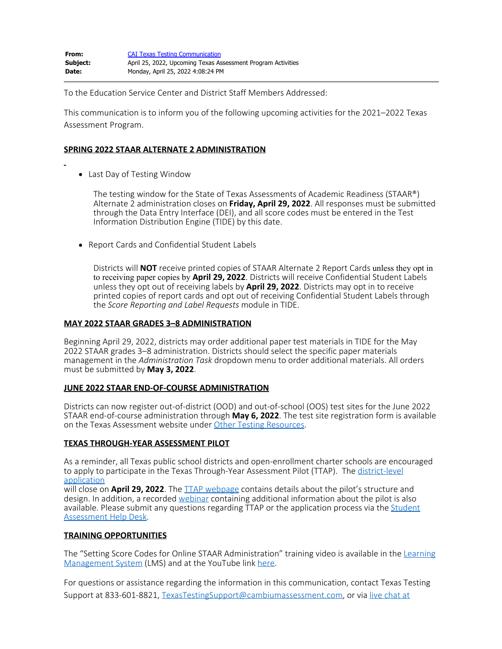To the Education Service Center and District Staff Members Addressed:

This communication is to inform you of the following upcoming activities for the 2021–2022 Texas Assessment Program.

# **SPRING 2022 STAAR ALTERNATE 2 ADMINISTRATION**

Last Day of Testing Window

The testing window for the State of Texas Assessments of Academic Readiness (STAAR®) Alternate 2 administration closes on **Friday, April 29, 2022**. All responses must be submitted through the Data Entry Interface (DEI), and all score codes must be entered in the Test Information Distribution Engine (TIDE) by this date.

• Report Cards and Confidential Student Labels

Districts will **NOT** receive printed copies of STAAR Alternate 2 Report Cards unless they opt in to receiving paper copies by **April 29, 2022**. Districts will receive Confidential Student Labels unless they opt out of receiving labels by **April 29, 2022**. Districts may opt in to receive printed copies of report cards and opt out of receiving Confidential Student Labels through the *Score Reporting and Label Requests* module in TIDE.

## **MAY 2022 STAAR GRADES 3–8 ADMINISTRATION**

Beginning April 29, 2022, districts may order additional paper test materials in TIDE for the May 2022 STAAR grades 3–8 administration. Districts should select the specific paper materials management in the *Administration Task* dropdown menu to order additional materials. All orders must be submitted by **May 3, 2022**.

### **JUNE 2022 STAAR END-OF-COURSE ADMINISTRATION**

Districts can now register out-of-district (OOD) and out-of-school (OOS) test sites for the June 2022 STAAR end-of-course administration through **May 6, 2022**. The test site registration form is available on the Texas Assessment website under [Other Testing Resources](https://www.texasassessment.gov/testing-other-resources.html).

### **TEXAS THROUGH-YEAR ASSESSMENT PILOT**

As a reminder, all Texas public school districts and open-enrollment charter schools are encouraged to apply to participate in the Texas Through-Year Assessment Pilot (TTAP). The [district-level](https://nam10.safelinks.protection.outlook.com/?url=https%3A%2F%2Fapp.smartsheet.com%2Fb%2Fform%2F4f3de41f5b444c1185935e79dd9f302b&data=04%7C01%7Cjordan.runge%40tea.texas.gov%7C2cfc291c4091474cbecb08da1800fd40%7C65d6b3c3723648189613248dbd713a6f%7C0%7C0%7C637848689773727953%7CUnknown%7CTWFpbGZsb3d8eyJWIjoiMC4wLjAwMDAiLCJQIjoiV2luMzIiLCJBTiI6Ik1haWwiLCJXVCI6Mn0%3D%7C3000&sdata=ssJFF4UCvSJwVDjLZY%2BBzY0k%2BoceOyngepzwHUvmk6I%3D&reserved=0) [application](https://nam10.safelinks.protection.outlook.com/?url=https%3A%2F%2Fapp.smartsheet.com%2Fb%2Fform%2F4f3de41f5b444c1185935e79dd9f302b&data=04%7C01%7Cjordan.runge%40tea.texas.gov%7C2cfc291c4091474cbecb08da1800fd40%7C65d6b3c3723648189613248dbd713a6f%7C0%7C0%7C637848689773727953%7CUnknown%7CTWFpbGZsb3d8eyJWIjoiMC4wLjAwMDAiLCJQIjoiV2luMzIiLCJBTiI6Ik1haWwiLCJXVCI6Mn0%3D%7C3000&sdata=ssJFF4UCvSJwVDjLZY%2BBzY0k%2BoceOyngepzwHUvmk6I%3D&reserved=0)

will close on **April 29, 2022**. The [TTAP webpage](https://nam10.safelinks.protection.outlook.com/?url=https%3A%2F%2Ftea.texas.gov%2Fstudent-assessment%2Fassessment-initiatives%2Fhb-3906%2Ftexas-through-year-assessment-pilot&data=04%7C01%7Cjordan.runge%40tea.texas.gov%7C2cfc291c4091474cbecb08da1800fd40%7C65d6b3c3723648189613248dbd713a6f%7C0%7C0%7C637848689773727953%7CUnknown%7CTWFpbGZsb3d8eyJWIjoiMC4wLjAwMDAiLCJQIjoiV2luMzIiLCJBTiI6Ik1haWwiLCJXVCI6Mn0%3D%7C3000&sdata=B%2FICxb%2F6akmsQTDKlCgnVJVONa79ssEqyu1larol3BE%3D&reserved=0) contains details about the pilot's structure and design. In addition, a recorded [webinar](https://nam10.safelinks.protection.outlook.com/?url=https%3A%2F%2Fwww.youtube.com%2Fwatch%3Fv%3DqJXdo91GxdU&data=04%7C01%7Cjordan.runge%40tea.texas.gov%7C2cfc291c4091474cbecb08da1800fd40%7C65d6b3c3723648189613248dbd713a6f%7C0%7C0%7C637848689773727953%7CUnknown%7CTWFpbGZsb3d8eyJWIjoiMC4wLjAwMDAiLCJQIjoiV2luMzIiLCJBTiI6Ik1haWwiLCJXVCI6Mn0%3D%7C3000&sdata=B9OQq3GjFR%2FpTZPej%2B4ko7UKRkU3lg2Slwv%2F%2F1apHFo%3D&reserved=0) containing additional information about the pilot is also available. Please submit any questions regarding TTAP or the application process via the [Student](https://nam10.safelinks.protection.outlook.com/?url=https%3A%2F%2Fteastudentassessments.zendesk.com%2Fhc%2Fen-us%2Fcategories%2F360002017872-Student-Assessment&data=04%7C01%7Cjordan.runge%40tea.texas.gov%7C2cfc291c4091474cbecb08da1800fd40%7C65d6b3c3723648189613248dbd713a6f%7C0%7C0%7C637848689773727953%7CUnknown%7CTWFpbGZsb3d8eyJWIjoiMC4wLjAwMDAiLCJQIjoiV2luMzIiLCJBTiI6Ik1haWwiLCJXVCI6Mn0%3D%7C3000&sdata=5dZuEKkHkO23F3WrO12Txd8FsViWIeM8pX4nRVUbF8g%3D&reserved=0) [Assessment Help Desk.](https://nam10.safelinks.protection.outlook.com/?url=https%3A%2F%2Fteastudentassessments.zendesk.com%2Fhc%2Fen-us%2Fcategories%2F360002017872-Student-Assessment&data=04%7C01%7Cjordan.runge%40tea.texas.gov%7C2cfc291c4091474cbecb08da1800fd40%7C65d6b3c3723648189613248dbd713a6f%7C0%7C0%7C637848689773727953%7CUnknown%7CTWFpbGZsb3d8eyJWIjoiMC4wLjAwMDAiLCJQIjoiV2luMzIiLCJBTiI6Ik1haWwiLCJXVCI6Mn0%3D%7C3000&sdata=5dZuEKkHkO23F3WrO12Txd8FsViWIeM8pX4nRVUbF8g%3D&reserved=0)

### **TRAINING OPPORTUNITIES**

The "Setting Score Codes for Online STAAR Administration" training video is available in the [Learning](https://nam10.safelinks.protection.outlook.com/?url=https%3A%2F%2Ftx.tms.pearson.com%2F&data=05%7C01%7Cjulie.cole%40tea.texas.gov%7Cd3e7c8b464924240888b08da26e1bd0d%7C65d6b3c3723648189613248dbd713a6f%7C0%7C0%7C637865048234943065%7CUnknown%7CTWFpbGZsb3d8eyJWIjoiMC4wLjAwMDAiLCJQIjoiV2luMzIiLCJBTiI6Ik1haWwiLCJXVCI6Mn0%3D%7C3000%7C%7C%7C&sdata=3iQmwivSE4GRiKOUGBXf4zxmXKwxthn71piomK0uH%2B8%3D&reserved=0) [Management System](https://nam10.safelinks.protection.outlook.com/?url=https%3A%2F%2Ftx.tms.pearson.com%2F&data=05%7C01%7Cjulie.cole%40tea.texas.gov%7Cd3e7c8b464924240888b08da26e1bd0d%7C65d6b3c3723648189613248dbd713a6f%7C0%7C0%7C637865048234943065%7CUnknown%7CTWFpbGZsb3d8eyJWIjoiMC4wLjAwMDAiLCJQIjoiV2luMzIiLCJBTiI6Ik1haWwiLCJXVCI6Mn0%3D%7C3000%7C%7C%7C&sdata=3iQmwivSE4GRiKOUGBXf4zxmXKwxthn71piomK0uH%2B8%3D&reserved=0) (LMS) and at the YouTube link [here](https://nam10.safelinks.protection.outlook.com/?url=https%3A%2F%2Fyoutu.be%2FgkmH768TeL8&data=05%7C01%7Cjulie.cole%40tea.texas.gov%7Cd3e7c8b464924240888b08da26e1bd0d%7C65d6b3c3723648189613248dbd713a6f%7C0%7C0%7C637865048234943065%7CUnknown%7CTWFpbGZsb3d8eyJWIjoiMC4wLjAwMDAiLCJQIjoiV2luMzIiLCJBTiI6Ik1haWwiLCJXVCI6Mn0%3D%7C3000%7C%7C%7C&sdata=pkbQUTXpLPDKiraiNBCMRl6QUMD7RlK5GQ%2FKzMHS2ng%3D&reserved=0).

For questions or assistance regarding the information in this communication, contact Texas Testing Support at 833-601-8821, [TexasTestingSupport@cambiumassessment.com](mailto:TexasTestingSupport@cambiumassessment.com), or via [live chat at](https://www.texasassessment.gov/contact.html)